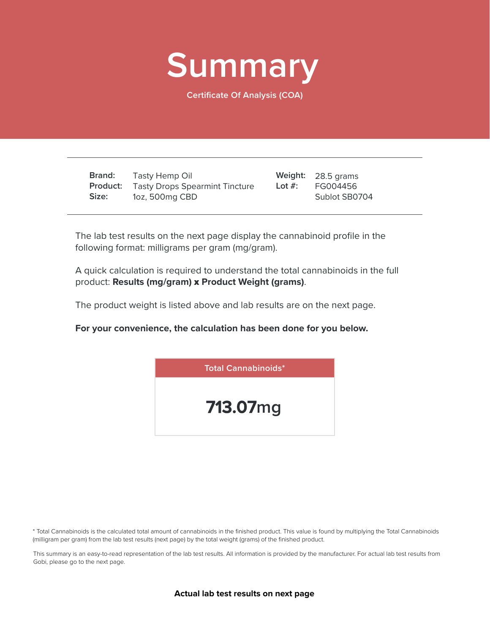

**Certificate Of Analysis (COA)**

**Brand: Product:** Tasty Drops Spearmint Tincture **Size:** Tasty Hemp Oil 1oz, 500mg CBD

28.5 grams **Weight:** FG004456 Sublot SB0704 **Lot #:**

The lab test results on the next page display the cannabinoid profile in the following format: milligrams per gram (mg/gram).

A quick calculation is required to understand the total cannabinoids in the full product: **Results (mg/gram)** x **Product Weight (grams)**.

The product weight is listed above and lab results are on the next page.

**For your convenience, the calculation has been done for you below.**



\* Total Cannabinoids is the calculated total amount of cannabinoids in the finished product. This value is found by multiplying the Total Cannabinoids (milligram per gram) from the lab test results (next page) by the total weight (grams) of the finished product.

This summary is an easy-to-read representation of the lab test results. All information is provided by the manufacturer. For actual lab test results from Gobi, please go to the next page.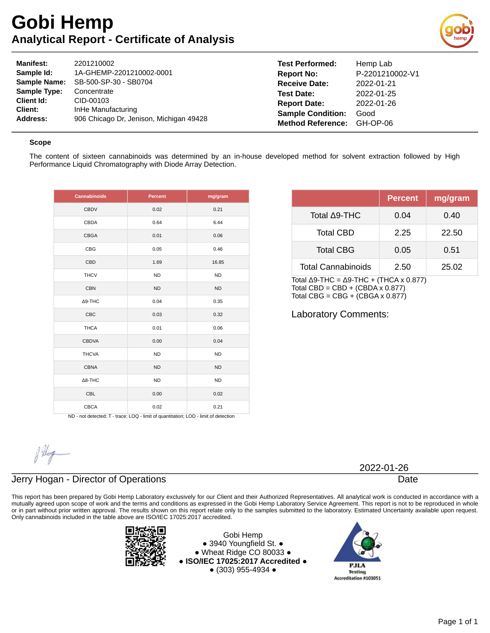# **Gobi Hemp Analytical Report - Certificate of Analysis**



| <b>Manifest:</b>    | 2201210002                              | <b>Test Performed:</b>   | Hemp Lab        |
|---------------------|-----------------------------------------|--------------------------|-----------------|
| Sample Id:          | 1A-GHEMP-2201210002-0001                | <b>Report No:</b>        | P-2201210002-V1 |
| <b>Sample Name:</b> | SB-500-SP-30 - SB0704                   | <b>Receive Date:</b>     | 2022-01-21      |
| <b>Sample Type:</b> | Concentrate                             | <b>Test Date:</b>        | 2022-01-25      |
| Client Id:          | CID-00103                               | <b>Report Date:</b>      | 2022-01-26      |
| Client:             | InHe Manufacturing                      | <b>Sample Condition:</b> | Good            |
| Address:            | 906 Chicago Dr. Jenison, Michigan 49428 | <b>Method Reference:</b> | GH-OP-06        |

#### **Scope**

The content of sixteen cannabinoids was determined by an in-house developed method for solvent extraction followed by High Performance Liquid Chromatography with Diode Array Detection.

| <b>Cannabinoids</b> | <b>Percent</b> | mg/gram   |
|---------------------|----------------|-----------|
| <b>CBDV</b>         | 0.02           | 0.21      |
| CBDA                | 0.64           | 6.44      |
| <b>CBGA</b>         | 0.01           | 0.06      |
| CBG                 | 0.05           | 0.46      |
| CBD                 | 1.69           | 16.85     |
| <b>THCV</b>         | <b>ND</b>      | <b>ND</b> |
| <b>CBN</b>          | <b>ND</b>      | <b>ND</b> |
| $\Delta$ 9-THC      | 0.04           | 0.35      |
| <b>CBC</b>          | 0.03           | 0.32      |
| <b>THCA</b>         | 0.01           | 0.06      |
| <b>CBDVA</b>        | 0.00           | 0.04      |
| <b>THCVA</b>        | <b>ND</b>      | <b>ND</b> |
| <b>CBNA</b>         | <b>ND</b>      | <b>ND</b> |
| $\Delta$ 8-THC      | <b>ND</b>      | <b>ND</b> |
| CBL                 | 0.00           | 0.02      |
| <b>CBCA</b>         | 0.02           | 0.21      |

|                           | Percent | mg/gram |
|---------------------------|---------|---------|
| Total ∆9-THC              | 0.04    | 0.40    |
| <b>Total CBD</b>          | 2.25    | 22.50   |
| <b>Total CBG</b>          | 0.05    | 0.51    |
| <b>Total Cannabinoids</b> | 2.50    | 25.02   |

Total Δ9-THC =  $Δ9-THC + (THCA × 0.877)$ Total CBD = CBD +  $(CBDA \times 0.877)$ Total CBG =  $CBG + (CBGA \times 0.877)$ 

Laboratory Comments:

ND - not detected; T - trace; LOQ - limit of quantitation; LOD - limit of detection

### Jerry Hogan - Director of Operations

This report has been prepared by Gobi Hemp Laboratory exclusively for our Client and their Authorized Representatives. All analytical work is conducted in accordance with a mutually agreed upon scope of work and the terms and conditions as expressed in the Gobi Hemp Laboratory Service Agreement. This report is not to be reproduced in whole or in part without prior written approval. The results shown on this report relate only to the samples submitted to the laboratory. Estimated Uncertainty available upon request. Only cannabinoids included in the table above are ISO/IEC 17025:2017 accredited.



Gobi Hemp ● 3940 Youngfield St. ● ● Wheat Ridge CO 80033 ● **● ISO/IEC 17025:2017 Accredited ●** ● (303) 955-4934 ●



2022-01-26

Date